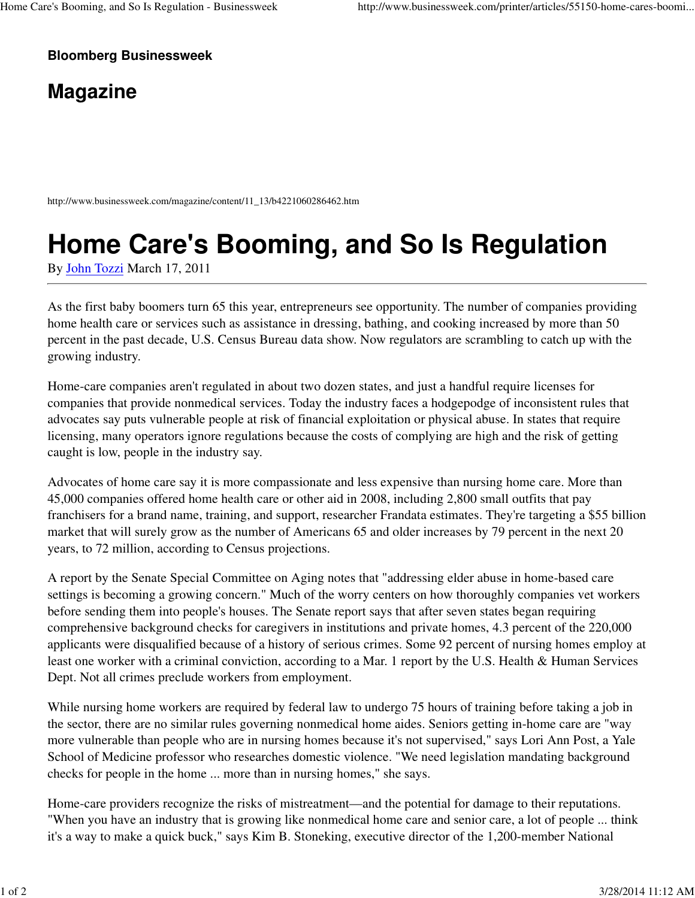## **Bloomberg Businessweek**

## **Magazine**

http://www.businessweek.com/magazine/content/11\_13/b4221060286462.htm

## **Home Care's Booming, and So Is Regulation**

By John Tozzi March 17, 2011

As the first baby boomers turn 65 this year, entrepreneurs see opportunity. The number of companies providing home health care or services such as assistance in dressing, bathing, and cooking increased by more than 50 percent in the past decade, U.S. Census Bureau data show. Now regulators are scrambling to catch up with the growing industry.

Home-care companies aren't regulated in about two dozen states, and just a handful require licenses for companies that provide nonmedical services. Today the industry faces a hodgepodge of inconsistent rules that advocates say puts vulnerable people at risk of financial exploitation or physical abuse. In states that require licensing, many operators ignore regulations because the costs of complying are high and the risk of getting caught is low, people in the industry say.

Advocates of home care say it is more compassionate and less expensive than nursing home care. More than 45,000 companies offered home health care or other aid in 2008, including 2,800 small outfits that pay franchisers for a brand name, training, and support, researcher Frandata estimates. They're targeting a \$55 billion market that will surely grow as the number of Americans 65 and older increases by 79 percent in the next 20 years, to 72 million, according to Census projections.

A report by the Senate Special Committee on Aging notes that "addressing elder abuse in home-based care settings is becoming a growing concern." Much of the worry centers on how thoroughly companies vet workers before sending them into people's houses. The Senate report says that after seven states began requiring comprehensive background checks for caregivers in institutions and private homes, 4.3 percent of the 220,000 applicants were disqualified because of a history of serious crimes. Some 92 percent of nursing homes employ at least one worker with a criminal conviction, according to a Mar. 1 report by the U.S. Health & Human Services Dept. Not all crimes preclude workers from employment.

While nursing home workers are required by federal law to undergo 75 hours of training before taking a job in the sector, there are no similar rules governing nonmedical home aides. Seniors getting in-home care are "way more vulnerable than people who are in nursing homes because it's not supervised," says Lori Ann Post, a Yale School of Medicine professor who researches domestic violence. "We need legislation mandating background checks for people in the home ... more than in nursing homes," she says.

Home-care providers recognize the risks of mistreatment—and the potential for damage to their reputations. "When you have an industry that is growing like nonmedical home care and senior care, a lot of people ... think it's a way to make a quick buck," says Kim B. Stoneking, executive director of the 1,200-member National